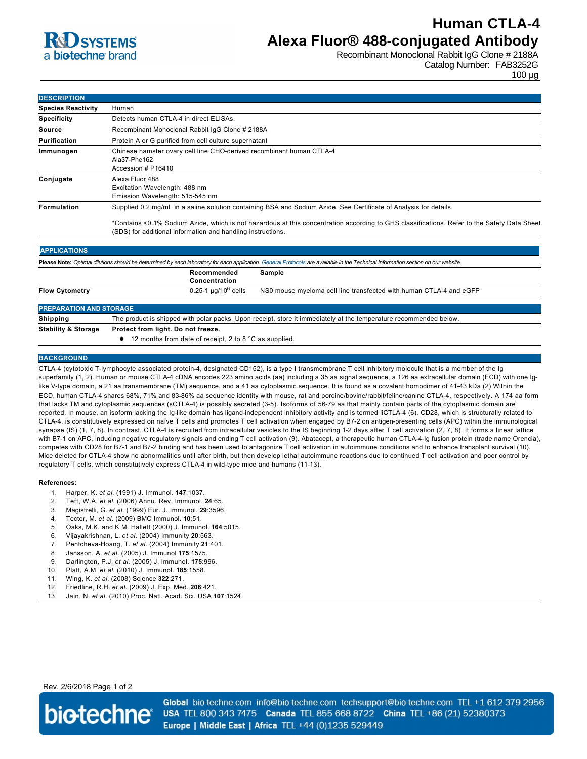# **R**d SYSTEMS a biotechne brand

### **Human CTLA-4 Alexa Fluor® 488-conjugated Antibody**

Recombinant Monoclonal Rabbit IgG Clone # 2188A Catalog Number: FAB3252G

100 µg

| <b>DESCRIPTION</b>        |                                                                                                                                                                                                                                                                                                                                 |  |
|---------------------------|---------------------------------------------------------------------------------------------------------------------------------------------------------------------------------------------------------------------------------------------------------------------------------------------------------------------------------|--|
| <b>Species Reactivity</b> | Human                                                                                                                                                                                                                                                                                                                           |  |
| <b>Specificity</b>        | Detects human CTLA-4 in direct ELISAs.                                                                                                                                                                                                                                                                                          |  |
| Source                    | Recombinant Monoclonal Rabbit IqG Clone # 2188A                                                                                                                                                                                                                                                                                 |  |
| Purification              | Protein A or G purified from cell culture supernatant                                                                                                                                                                                                                                                                           |  |
| Immunogen                 | Chinese hamster ovary cell line CHO-derived recombinant human CTLA-4<br>Ala37-Phe162<br>Accession # P16410                                                                                                                                                                                                                      |  |
| Conjugate                 | Alexa Fluor 488<br>Excitation Wavelength: 488 nm<br>Emission Wavelength: 515-545 nm                                                                                                                                                                                                                                             |  |
| Formulation               | Supplied 0.2 mg/mL in a saline solution containing BSA and Sodium Azide. See Certificate of Analysis for details.<br>*Contains <0.1% Sodium Azide, which is not hazardous at this concentration according to GHS classifications. Refer to the Safety Data Sheet<br>(SDS) for additional information and handling instructions. |  |

| <b>APPLICATIONS</b>                                                                                                                                                               |                                                                                                                   |                                                                    |  |
|-----------------------------------------------------------------------------------------------------------------------------------------------------------------------------------|-------------------------------------------------------------------------------------------------------------------|--------------------------------------------------------------------|--|
| Please Note: Optimal dilutions should be determined by each laboratory for each application. General Protocols are available in the Technical Information section on our website. |                                                                                                                   |                                                                    |  |
|                                                                                                                                                                                   | Recommended<br>Concentration                                                                                      | Sample                                                             |  |
| <b>Flow Cytometry</b>                                                                                                                                                             | $0.25 - 1 \mu q/10^6$ cells                                                                                       | NS0 mouse myeloma cell line transfected with human CTLA-4 and eGFP |  |
| <b>PREPARATION AND STORAGE</b>                                                                                                                                                    |                                                                                                                   |                                                                    |  |
| Shipping                                                                                                                                                                          | The product is shipped with polar packs. Upon receipt, store it immediately at the temperature recommended below. |                                                                    |  |
| _ _ _ _ _ _ _ _ _                                                                                                                                                                 |                                                                                                                   |                                                                    |  |

**Stability & Storage Protect from light. Do not freeze.**

● 12 months from date of receipt, 2 to 8 °C as supplied.

### **BACKGROUND**

CTLA4 (cytotoxic Tlymphocyte associated protein4, designated CD152), is a type I transmembrane T cell inhibitory molecule that is a member of the Ig superfamily (1, 2). Human or mouse CTLA4 cDNA encodes 223 amino acids (aa) including a 35 aa signal sequence, a 126 aa extracellular domain (ECD) with one Iglike V-type domain, a 21 aa transmembrane (TM) sequence, and a 41 aa cytoplasmic sequence. It is found as a covalent homodimer of 41-43 kDa (2) Within the ECD, human CTLA-4 shares 68%, 71% and 83-86% aa sequence identity with mouse, rat and porcine/bovine/rabbit/feline/canine CTLA-4, respectively. A 174 aa form that lacks TM and cytoplasmic sequences (sCTLA4) is possibly secreted (35). Isoforms of 5679 aa that mainly contain parts of the cytoplasmic domain are reported. In mouse, an isoform lacking the Ig-like domain has ligand-independent inhibitory activity and is termed liCTLA-4 (6). CD28, which is structurally related to CTLA-4, is constitutively expressed on naïve T cells and promotes T cell activation when engaged by B7-2 on antigen-presenting cells (APC) within the immunological synapse (IS) (1, 7, 8). In contrast, CTLA-4 is recruited from intracellular vesicles to the IS beginning 1-2 days after T cell activation (2, 7, 8). It forms a linear lattice with B7-1 on APC, inducing negative regulatory signals and ending T cell activation (9). Abatacept, a therapeutic human CTLA-4-Ig fusion protein (trade name Orencia), competes with CD28 for B7-1 and B7-2 binding and has been used to antagonize T cell activation in autoimmune conditions and to enhance transplant survival (10). Mice deleted for CTLA4 show no abnormalities until after birth, but then develop lethal autoimmune reactions due to continued T cell activation and poor control by regulatory T cells, which constitutively express CTLA-4 in wild-type mice and humans (11-13).

#### **References:**

- 1. Harper, K. *et al.* (1991) J. Immunol. **147**:1037.
- 2. Teft, W.A. *et al.* (2006) Annu. Rev. Immunol. **24**:65.
- 3. Magistrelli, G. *et al.* (1999) Eur. J. Immunol. **29**:3596.
- 4. Tector, M. *et al.* (2009) BMC Immunol. **10**:51.
- 5. Oaks, M.K. and K.M. Hallett (2000) J. Immunol. **164**:5015.
- 6. Vijayakrishnan, L. *et al.* (2004) Immunity **20**:563.
- 7. PentchevaHoang, T. *et al.* (2004) Immunity **21**:401.
- 8. Jansson, A. *et al.* (2005) J. Immunol **175**:1575.
- 9. Darlington, P.J. *et al.* (2005) J. Immunol. **175**:996.
- 10. Platt, A.M. *et al.* (2010) J. Immunol. **185**:1558.
- 11. Wing, K. *et al.* (2008) Science **322**:271.
- 12. Friedline, R.H. *et al.* (2009) J. Exp. Med. **206**:421.
- 13. Jain, N. *et al.* (2010) Proc. Natl. Acad. Sci. USA **107**:1524.

Rev. 2/6/2018 Page 1 of 2



Global bio-techne.com info@bio-techne.com techsupport@bio-techne.com TEL +1 612 379 2956 USA TEL 800 343 7475 Canada TEL 855 668 8722 China TEL +86 (21) 52380373 Europe | Middle East | Africa TEL +44 (0)1235 529449